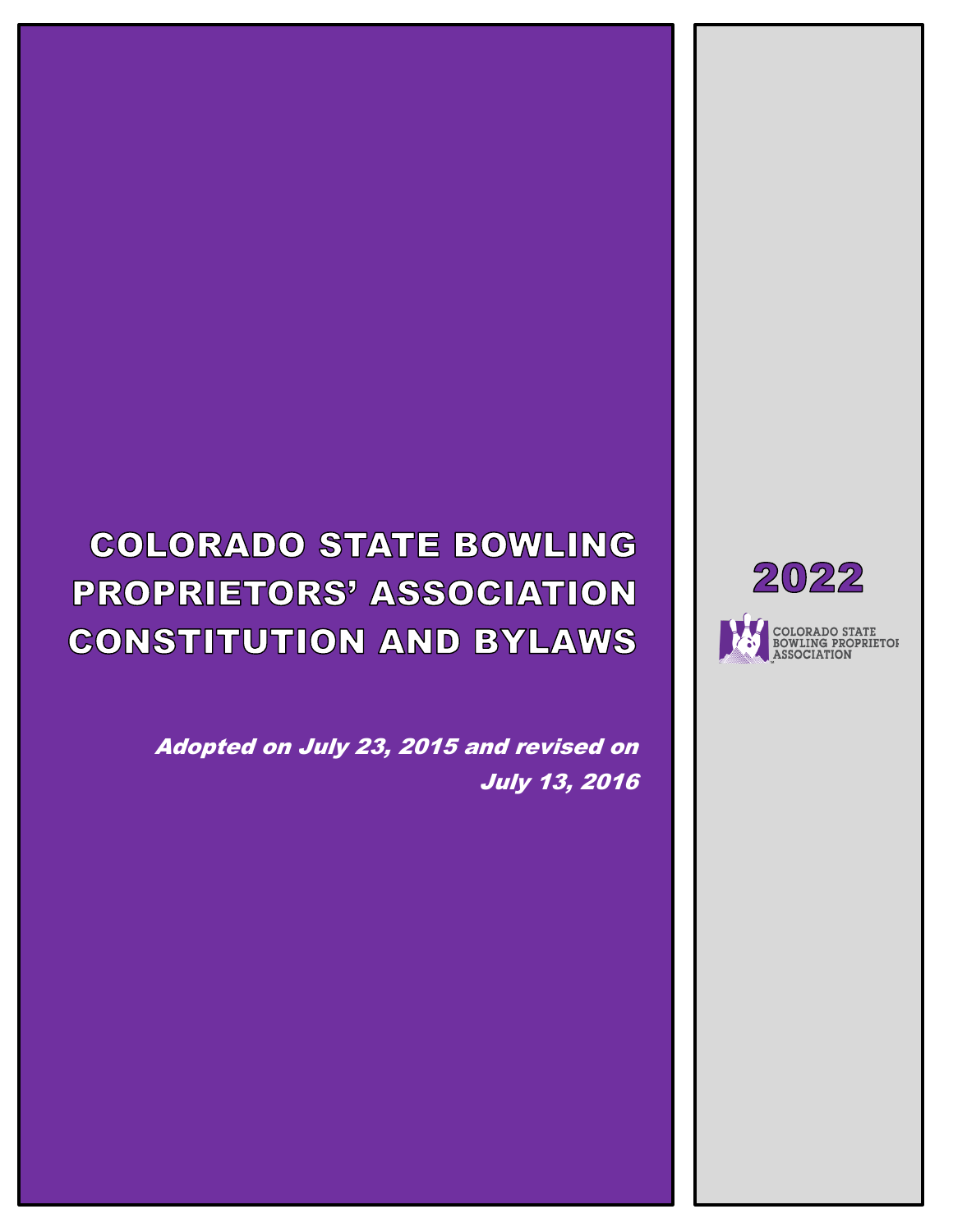# **COLORADO STATE BOWLING PROPRIETORS' ASSOCIATION CONSTITUTION AND BYLAWS**

Adopted on July 23, 2015 and revised on July 13, 2016

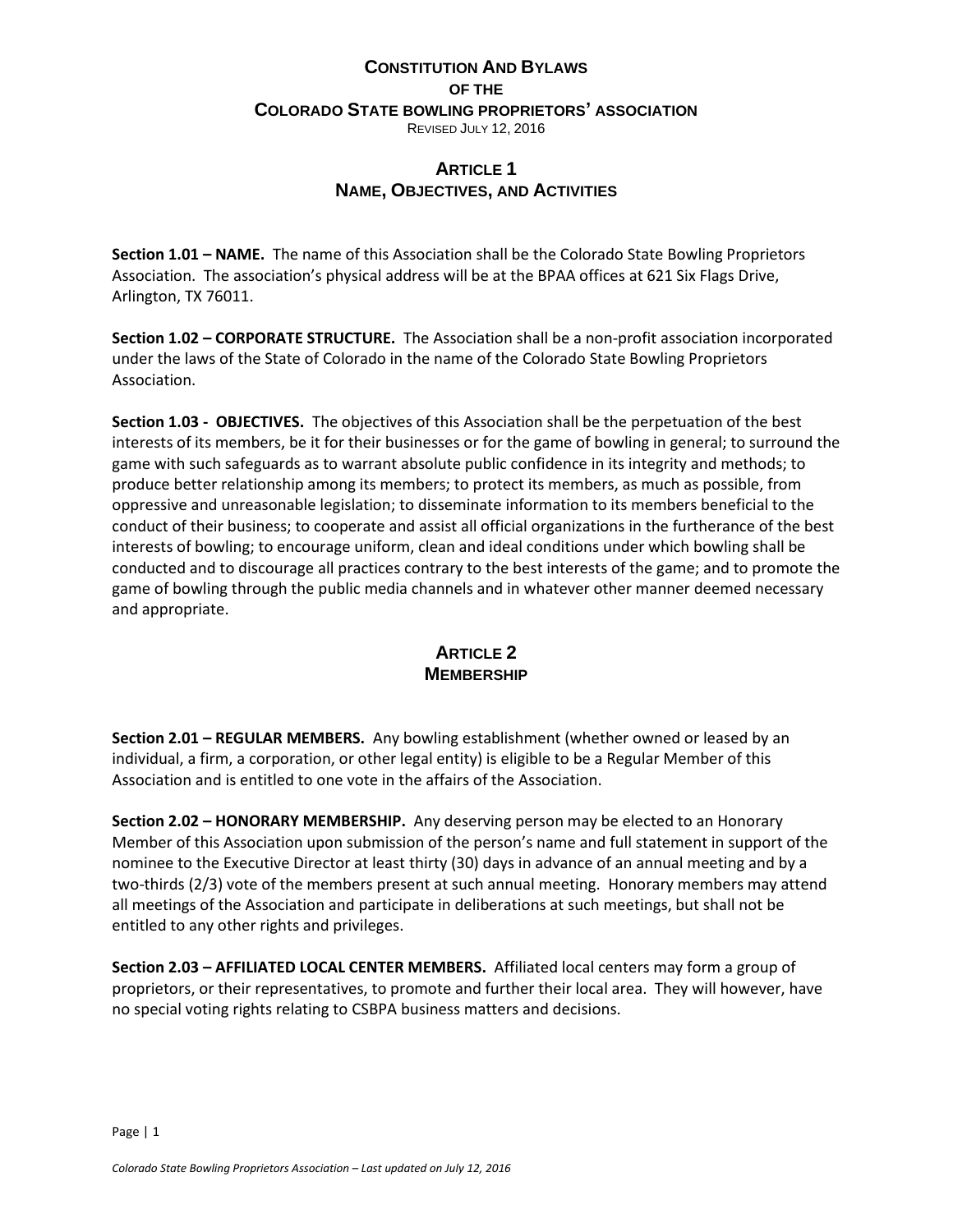#### **CONSTITUTION AND BYLAWS OF THE COLORADO STATE BOWLING PROPRIETORS' ASSOCIATION** REVISED JULY 12, 2016

# **ARTICLE 1 NAME, OBJECTIVES, AND ACTIVITIES**

**Section 1.01 – NAME.** The name of this Association shall be the Colorado State Bowling Proprietors Association. The association's physical address will be at the BPAA offices at 621 Six Flags Drive, Arlington, TX 76011.

**Section 1.02 – CORPORATE STRUCTURE.** The Association shall be a non-profit association incorporated under the laws of the State of Colorado in the name of the Colorado State Bowling Proprietors Association.

**Section 1.03 - OBJECTIVES.** The objectives of this Association shall be the perpetuation of the best interests of its members, be it for their businesses or for the game of bowling in general; to surround the game with such safeguards as to warrant absolute public confidence in its integrity and methods; to produce better relationship among its members; to protect its members, as much as possible, from oppressive and unreasonable legislation; to disseminate information to its members beneficial to the conduct of their business; to cooperate and assist all official organizations in the furtherance of the best interests of bowling; to encourage uniform, clean and ideal conditions under which bowling shall be conducted and to discourage all practices contrary to the best interests of the game; and to promote the game of bowling through the public media channels and in whatever other manner deemed necessary and appropriate.

## **ARTICLE 2 MEMBERSHIP**

**Section 2.01 – REGULAR MEMBERS.** Any bowling establishment (whether owned or leased by an individual, a firm, a corporation, or other legal entity) is eligible to be a Regular Member of this Association and is entitled to one vote in the affairs of the Association.

**Section 2.02 – HONORARY MEMBERSHIP.** Any deserving person may be elected to an Honorary Member of this Association upon submission of the person's name and full statement in support of the nominee to the Executive Director at least thirty (30) days in advance of an annual meeting and by a two-thirds (2/3) vote of the members present at such annual meeting. Honorary members may attend all meetings of the Association and participate in deliberations at such meetings, but shall not be entitled to any other rights and privileges.

**Section 2.03 – AFFILIATED LOCAL CENTER MEMBERS.** Affiliated local centers may form a group of proprietors, or their representatives, to promote and further their local area. They will however, have no special voting rights relating to CSBPA business matters and decisions.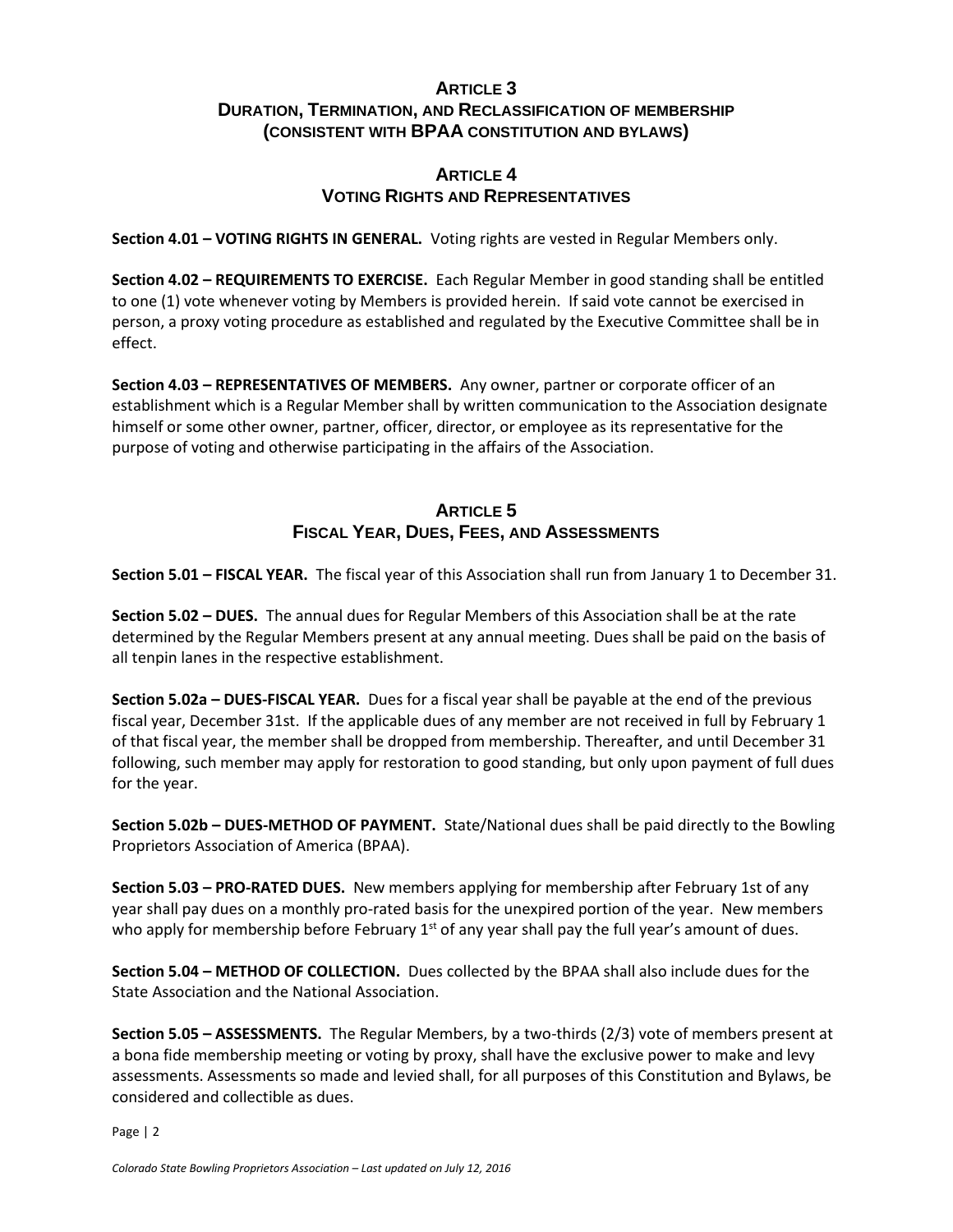#### **ARTICLE 3 DURATION, TERMINATION, AND RECLASSIFICATION OF MEMBERSHIP (CONSISTENT WITH BPAA CONSTITUTION AND BYLAWS)**

#### **ARTICLE 4 VOTING RIGHTS AND REPRESENTATIVES**

**Section 4.01 – VOTING RIGHTS IN GENERAL.** Voting rights are vested in Regular Members only.

**Section 4.02 – REQUIREMENTS TO EXERCISE.** Each Regular Member in good standing shall be entitled to one (1) vote whenever voting by Members is provided herein. If said vote cannot be exercised in person, a proxy voting procedure as established and regulated by the Executive Committee shall be in effect.

**Section 4.03 – REPRESENTATIVES OF MEMBERS.** Any owner, partner or corporate officer of an establishment which is a Regular Member shall by written communication to the Association designate himself or some other owner, partner, officer, director, or employee as its representative for the purpose of voting and otherwise participating in the affairs of the Association.

## **ARTICLE 5 FISCAL YEAR, DUES, FEES, AND ASSESSMENTS**

**Section 5.01 – FISCAL YEAR.** The fiscal year of this Association shall run from January 1 to December 31.

**Section 5.02 – DUES.** The annual dues for Regular Members of this Association shall be at the rate determined by the Regular Members present at any annual meeting. Dues shall be paid on the basis of all tenpin lanes in the respective establishment.

**Section 5.02a – DUES-FISCAL YEAR.** Dues for a fiscal year shall be payable at the end of the previous fiscal year, December 31st. If the applicable dues of any member are not received in full by February 1 of that fiscal year, the member shall be dropped from membership. Thereafter, and until December 31 following, such member may apply for restoration to good standing, but only upon payment of full dues for the year.

**Section 5.02b – DUES-METHOD OF PAYMENT.** State/National dues shall be paid directly to the Bowling Proprietors Association of America (BPAA).

**Section 5.03 – PRO-RATED DUES.** New members applying for membership after February 1st of any year shall pay dues on a monthly pro-rated basis for the unexpired portion of the year. New members who apply for membership before February  $1<sup>st</sup>$  of any year shall pay the full year's amount of dues.

**Section 5.04 – METHOD OF COLLECTION.** Dues collected by the BPAA shall also include dues for the State Association and the National Association.

**Section 5.05 – ASSESSMENTS.** The Regular Members, by a two-thirds (2/3) vote of members present at a bona fide membership meeting or voting by proxy, shall have the exclusive power to make and levy assessments. Assessments so made and levied shall, for all purposes of this Constitution and Bylaws, be considered and collectible as dues.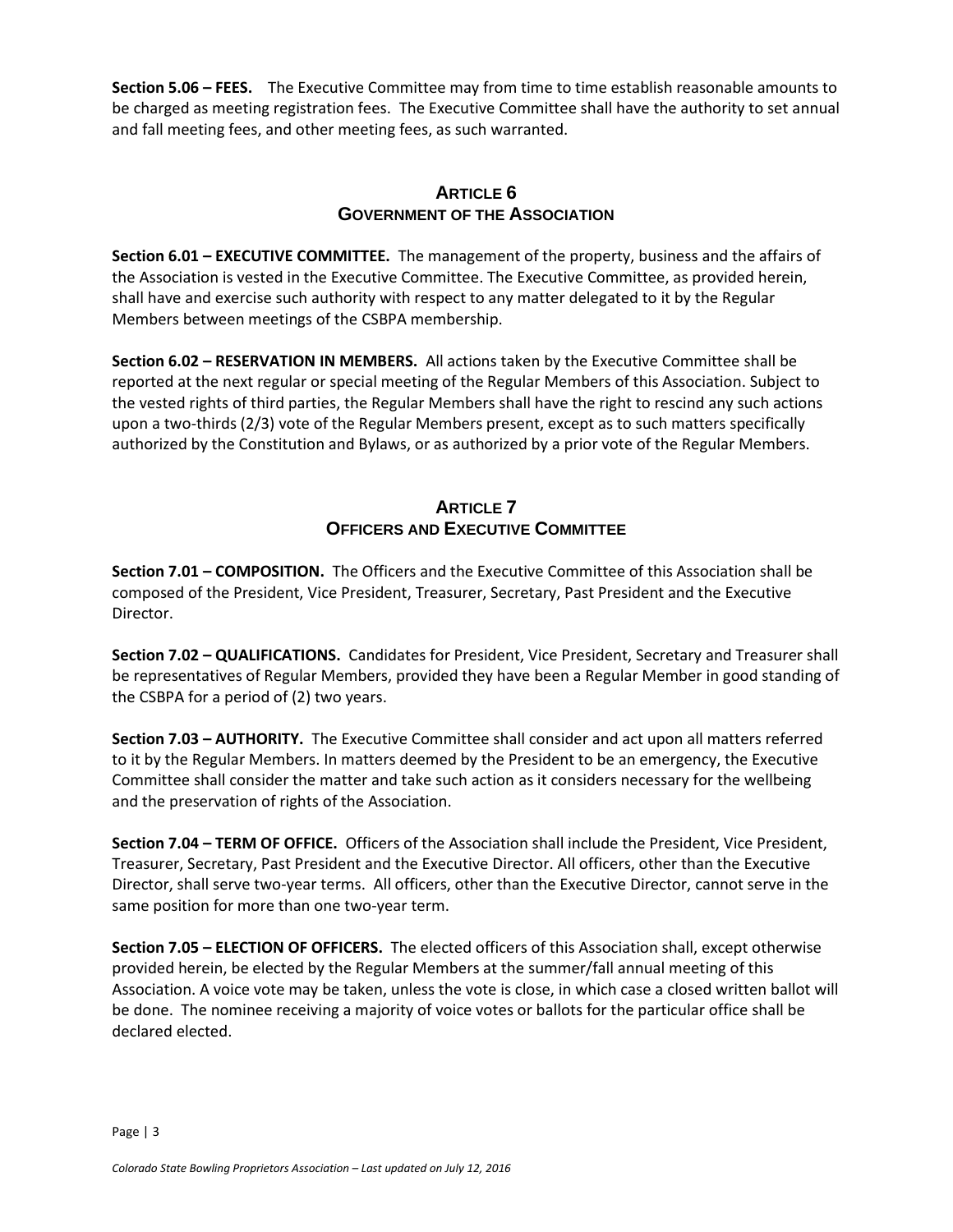**Section 5.06 – FEES.** The Executive Committee may from time to time establish reasonable amounts to be charged as meeting registration fees. The Executive Committee shall have the authority to set annual and fall meeting fees, and other meeting fees, as such warranted.

## **ARTICLE 6 GOVERNMENT OF THE ASSOCIATION**

**Section 6.01 – EXECUTIVE COMMITTEE.** The management of the property, business and the affairs of the Association is vested in the Executive Committee. The Executive Committee, as provided herein, shall have and exercise such authority with respect to any matter delegated to it by the Regular Members between meetings of the CSBPA membership.

**Section 6.02 – RESERVATION IN MEMBERS.** All actions taken by the Executive Committee shall be reported at the next regular or special meeting of the Regular Members of this Association. Subject to the vested rights of third parties, the Regular Members shall have the right to rescind any such actions upon a two-thirds (2/3) vote of the Regular Members present, except as to such matters specifically authorized by the Constitution and Bylaws, or as authorized by a prior vote of the Regular Members.

#### **ARTICLE 7 OFFICERS AND EXECUTIVE COMMITTEE**

**Section 7.01 – COMPOSITION.** The Officers and the Executive Committee of this Association shall be composed of the President, Vice President, Treasurer, Secretary, Past President and the Executive Director.

**Section 7.02 – QUALIFICATIONS.** Candidates for President, Vice President, Secretary and Treasurer shall be representatives of Regular Members, provided they have been a Regular Member in good standing of the CSBPA for a period of (2) two years.

**Section 7.03 – AUTHORITY.** The Executive Committee shall consider and act upon all matters referred to it by the Regular Members. In matters deemed by the President to be an emergency, the Executive Committee shall consider the matter and take such action as it considers necessary for the wellbeing and the preservation of rights of the Association.

**Section 7.04 – TERM OF OFFICE.** Officers of the Association shall include the President, Vice President, Treasurer, Secretary, Past President and the Executive Director. All officers, other than the Executive Director, shall serve two-year terms. All officers, other than the Executive Director, cannot serve in the same position for more than one two-year term.

**Section 7.05 – ELECTION OF OFFICERS.** The elected officers of this Association shall, except otherwise provided herein, be elected by the Regular Members at the summer/fall annual meeting of this Association. A voice vote may be taken, unless the vote is close, in which case a closed written ballot will be done. The nominee receiving a majority of voice votes or ballots for the particular office shall be declared elected.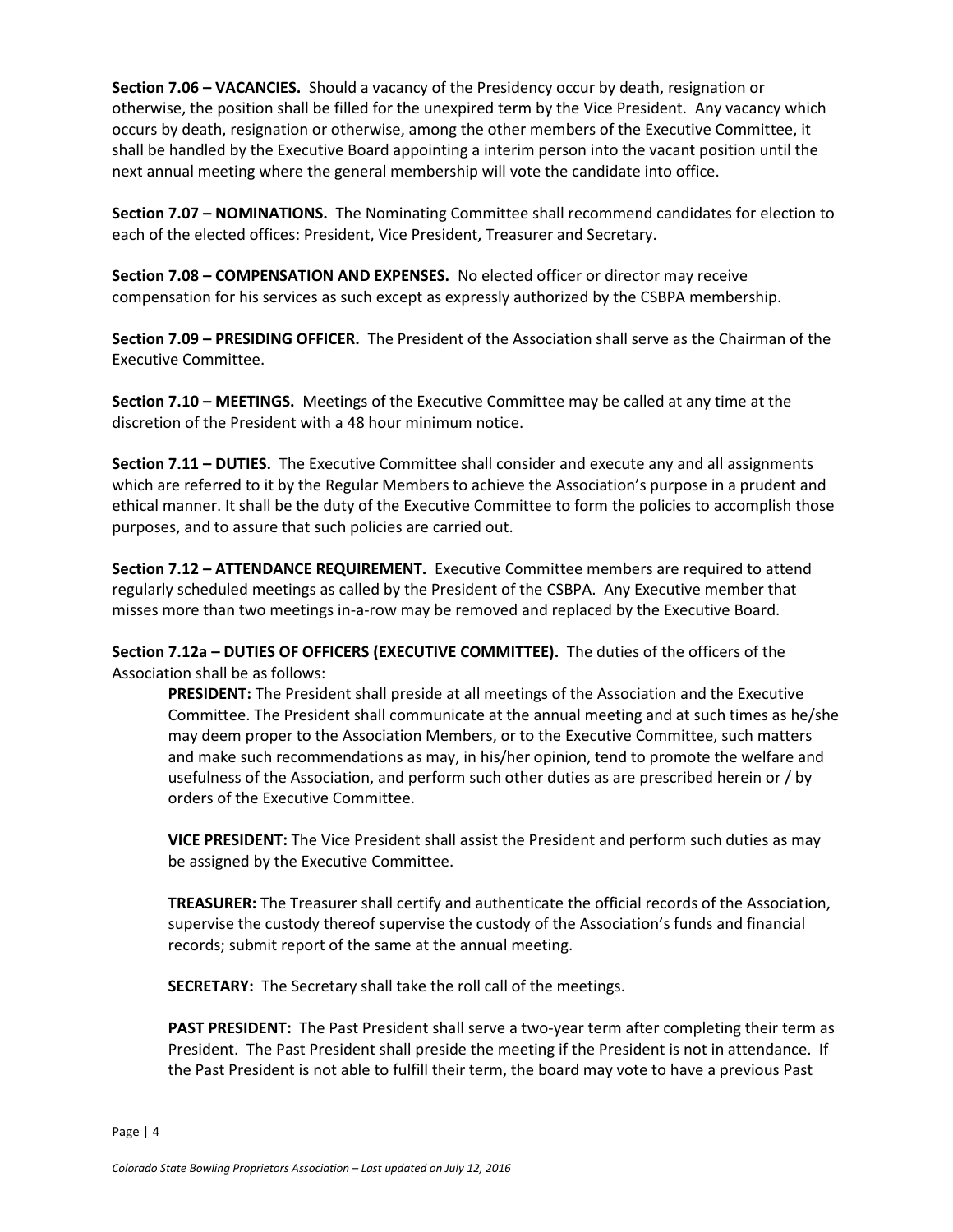**Section 7.06 – VACANCIES.** Should a vacancy of the Presidency occur by death, resignation or otherwise, the position shall be filled for the unexpired term by the Vice President. Any vacancy which occurs by death, resignation or otherwise, among the other members of the Executive Committee, it shall be handled by the Executive Board appointing a interim person into the vacant position until the next annual meeting where the general membership will vote the candidate into office.

**Section 7.07 – NOMINATIONS.** The Nominating Committee shall recommend candidates for election to each of the elected offices: President, Vice President, Treasurer and Secretary.

**Section 7.08 – COMPENSATION AND EXPENSES.** No elected officer or director may receive compensation for his services as such except as expressly authorized by the CSBPA membership.

**Section 7.09 – PRESIDING OFFICER.** The President of the Association shall serve as the Chairman of the Executive Committee.

**Section 7.10 – MEETINGS.** Meetings of the Executive Committee may be called at any time at the discretion of the President with a 48 hour minimum notice.

**Section 7.11 – DUTIES.** The Executive Committee shall consider and execute any and all assignments which are referred to it by the Regular Members to achieve the Association's purpose in a prudent and ethical manner. It shall be the duty of the Executive Committee to form the policies to accomplish those purposes, and to assure that such policies are carried out.

**Section 7.12 – ATTENDANCE REQUIREMENT.** Executive Committee members are required to attend regularly scheduled meetings as called by the President of the CSBPA. Any Executive member that misses more than two meetings in-a-row may be removed and replaced by the Executive Board.

**Section 7.12a – DUTIES OF OFFICERS (EXECUTIVE COMMITTEE).** The duties of the officers of the Association shall be as follows:

**PRESIDENT:** The President shall preside at all meetings of the Association and the Executive Committee. The President shall communicate at the annual meeting and at such times as he/she may deem proper to the Association Members, or to the Executive Committee, such matters and make such recommendations as may, in his/her opinion, tend to promote the welfare and usefulness of the Association, and perform such other duties as are prescribed herein or / by orders of the Executive Committee.

**VICE PRESIDENT:** The Vice President shall assist the President and perform such duties as may be assigned by the Executive Committee.

**TREASURER:** The Treasurer shall certify and authenticate the official records of the Association, supervise the custody thereof supervise the custody of the Association's funds and financial records; submit report of the same at the annual meeting.

**SECRETARY:** The Secretary shall take the roll call of the meetings.

**PAST PRESIDENT:** The Past President shall serve a two-year term after completing their term as President. The Past President shall preside the meeting if the President is not in attendance. If the Past President is not able to fulfill their term, the board may vote to have a previous Past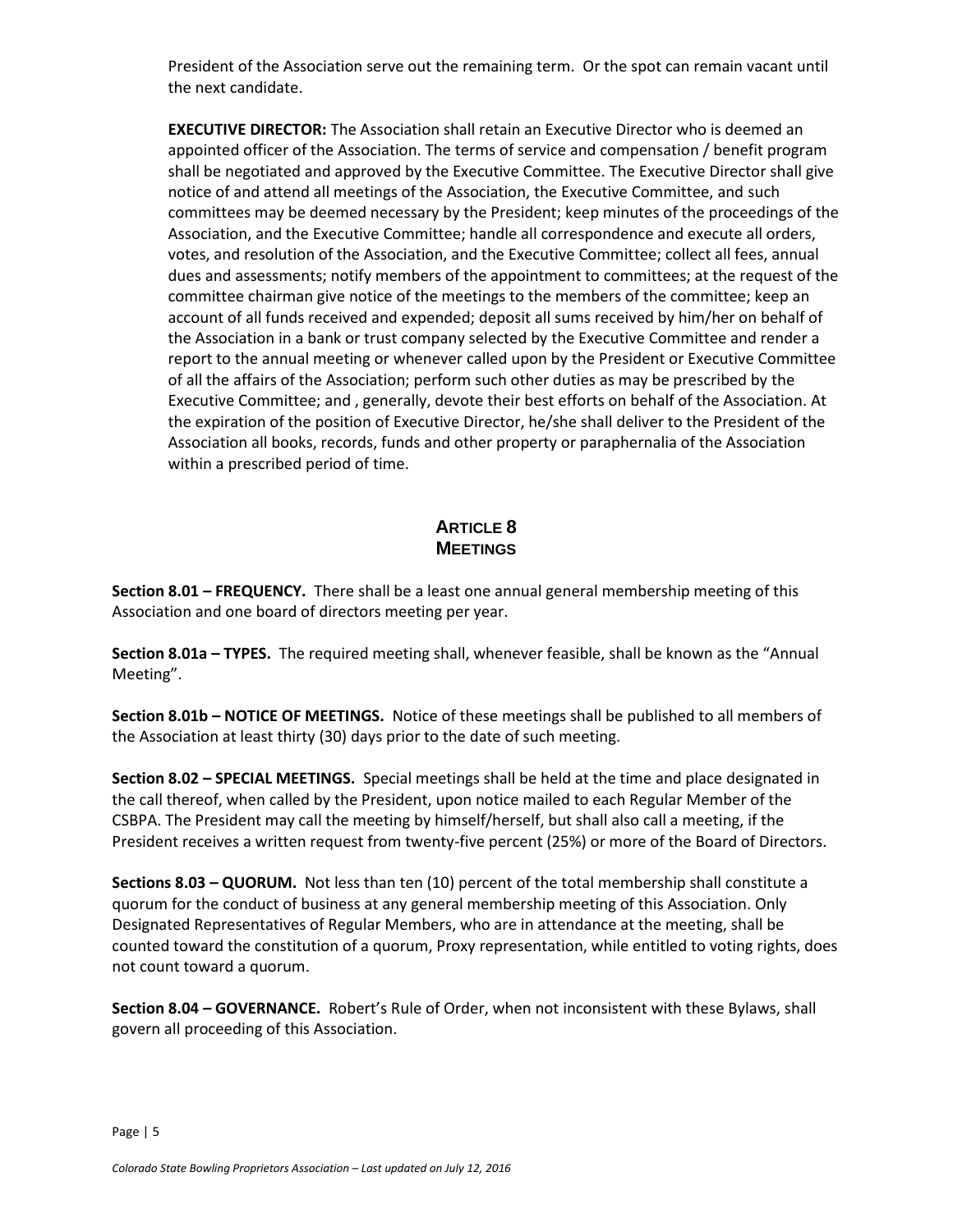President of the Association serve out the remaining term. Or the spot can remain vacant until the next candidate.

**EXECUTIVE DIRECTOR:** The Association shall retain an Executive Director who is deemed an appointed officer of the Association. The terms of service and compensation / benefit program shall be negotiated and approved by the Executive Committee. The Executive Director shall give notice of and attend all meetings of the Association, the Executive Committee, and such committees may be deemed necessary by the President; keep minutes of the proceedings of the Association, and the Executive Committee; handle all correspondence and execute all orders, votes, and resolution of the Association, and the Executive Committee; collect all fees, annual dues and assessments; notify members of the appointment to committees; at the request of the committee chairman give notice of the meetings to the members of the committee; keep an account of all funds received and expended; deposit all sums received by him/her on behalf of the Association in a bank or trust company selected by the Executive Committee and render a report to the annual meeting or whenever called upon by the President or Executive Committee of all the affairs of the Association; perform such other duties as may be prescribed by the Executive Committee; and , generally, devote their best efforts on behalf of the Association. At the expiration of the position of Executive Director, he/she shall deliver to the President of the Association all books, records, funds and other property or paraphernalia of the Association within a prescribed period of time.

## **ARTICLE 8 MEETINGS**

**Section 8.01 – FREQUENCY.** There shall be a least one annual general membership meeting of this Association and one board of directors meeting per year.

**Section 8.01a – TYPES.** The required meeting shall, whenever feasible, shall be known as the "Annual Meeting".

**Section 8.01b – NOTICE OF MEETINGS.** Notice of these meetings shall be published to all members of the Association at least thirty (30) days prior to the date of such meeting.

**Section 8.02 – SPECIAL MEETINGS.** Special meetings shall be held at the time and place designated in the call thereof, when called by the President, upon notice mailed to each Regular Member of the CSBPA. The President may call the meeting by himself/herself, but shall also call a meeting, if the President receives a written request from twenty-five percent (25%) or more of the Board of Directors.

**Sections 8.03 – QUORUM.** Not less than ten (10) percent of the total membership shall constitute a quorum for the conduct of business at any general membership meeting of this Association. Only Designated Representatives of Regular Members, who are in attendance at the meeting, shall be counted toward the constitution of a quorum, Proxy representation, while entitled to voting rights, does not count toward a quorum.

**Section 8.04 – GOVERNANCE.** Robert's Rule of Order, when not inconsistent with these Bylaws, shall govern all proceeding of this Association.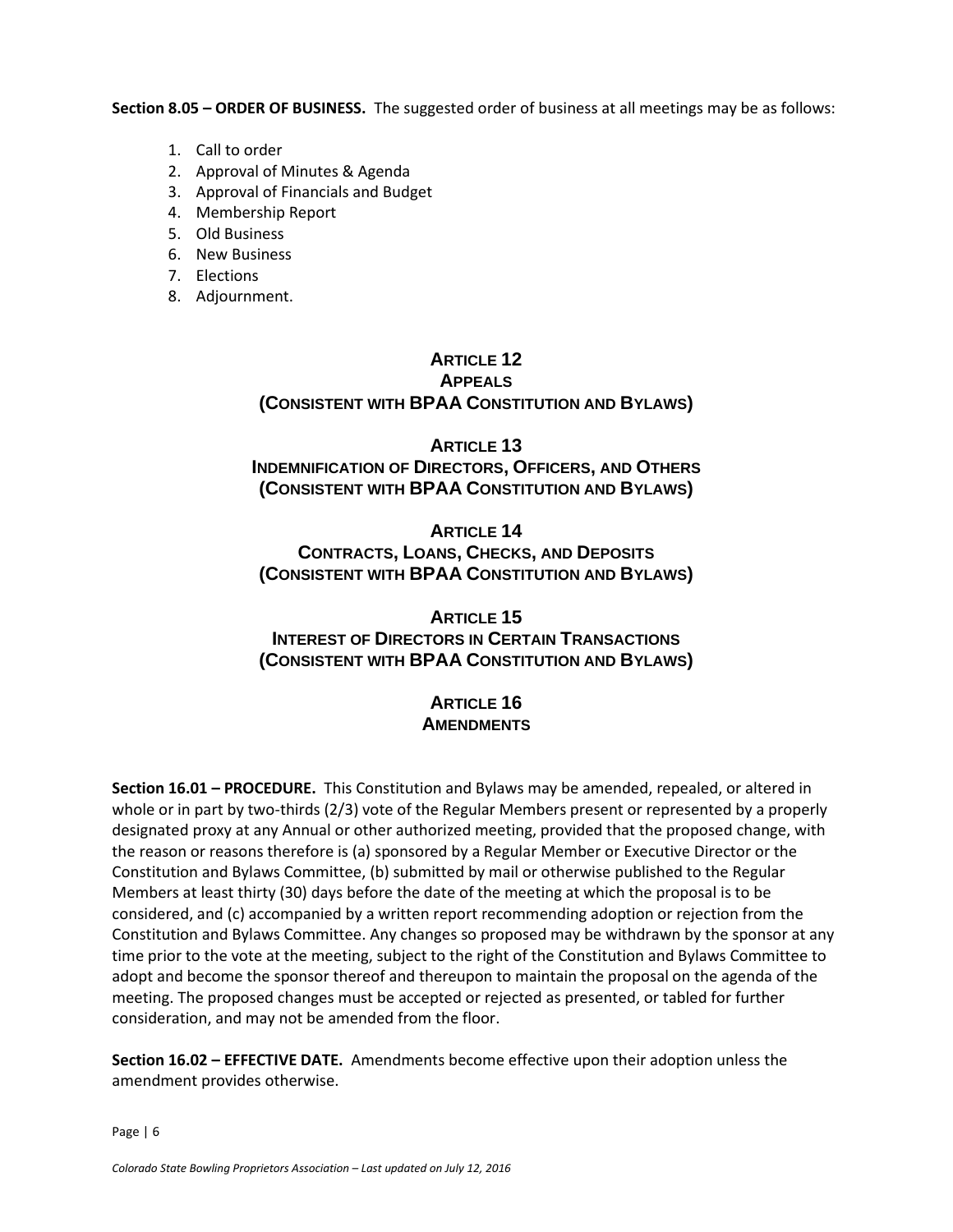**Section 8.05 – ORDER OF BUSINESS.** The suggested order of business at all meetings may be as follows:

- 1. Call to order
- 2. Approval of Minutes & Agenda
- 3. Approval of Financials and Budget
- 4. Membership Report
- 5. Old Business
- 6. New Business
- 7. Elections
- 8. Adjournment.

#### **ARTICLE 12 APPEALS (CONSISTENT WITH BPAA CONSTITUTION AND BYLAWS)**

#### **ARTICLE 13 INDEMNIFICATION OF DIRECTORS, OFFICERS, AND OTHERS (CONSISTENT WITH BPAA CONSTITUTION AND BYLAWS)**

**ARTICLE 14 CONTRACTS, LOANS, CHECKS, AND DEPOSITS (CONSISTENT WITH BPAA CONSTITUTION AND BYLAWS)**

# **ARTICLE 15 INTEREST OF DIRECTORS IN CERTAIN TRANSACTIONS (CONSISTENT WITH BPAA CONSTITUTION AND BYLAWS)**

# **ARTICLE 16 AMENDMENTS**

**Section 16.01 – PROCEDURE.** This Constitution and Bylaws may be amended, repealed, or altered in whole or in part by two-thirds (2/3) vote of the Regular Members present or represented by a properly designated proxy at any Annual or other authorized meeting, provided that the proposed change, with the reason or reasons therefore is (a) sponsored by a Regular Member or Executive Director or the Constitution and Bylaws Committee, (b) submitted by mail or otherwise published to the Regular Members at least thirty (30) days before the date of the meeting at which the proposal is to be considered, and (c) accompanied by a written report recommending adoption or rejection from the Constitution and Bylaws Committee. Any changes so proposed may be withdrawn by the sponsor at any time prior to the vote at the meeting, subject to the right of the Constitution and Bylaws Committee to adopt and become the sponsor thereof and thereupon to maintain the proposal on the agenda of the meeting. The proposed changes must be accepted or rejected as presented, or tabled for further consideration, and may not be amended from the floor.

**Section 16.02 – EFFECTIVE DATE.** Amendments become effective upon their adoption unless the amendment provides otherwise.